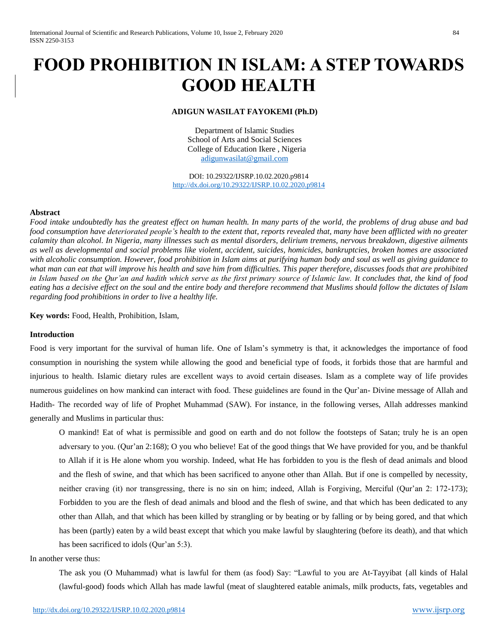# **FOOD PROHIBITION IN ISLAM: A STEP TOWARDS GOOD HEALTH**

## **ADIGUN WASILAT FAYOKEMI (Ph.D)**

Department of Islamic Studies School of Arts and Social Sciences College of Education Ikere , Nigeria [adigunwasilat@gmail.com](mailto:adigunwasilat@gmail.com)

DOI: 10.29322/IJSRP.10.02.2020.p9814 <http://dx.doi.org/10.29322/IJSRP.10.02.2020.p9814>

#### **Abstract**

*Food intake undoubtedly has the greatest effect on human health. In many parts of the world, the problems of drug abuse and bad food consumption have deteriorated people's health to the extent that, reports revealed that, many have been afflicted with no greater calamity than alcohol. In Nigeria, many illnesses such as mental disorders, delirium tremens, nervous breakdown, digestive ailments as well as developmental and social problems like violent, accident, suicides, homicides, bankruptcies, broken homes are associated with alcoholic consumption. However, food prohibition in Islam aims at purifying human body and soul as well as giving guidance to what man can eat that will improve his health and save him from difficulties. This paper therefore, discusses foods that are prohibited in Islam based on the Qur'an and hadith which serve as the first primary source of Islamic law. It concludes that, the kind of food eating has a decisive effect on the soul and the entire body and therefore recommend that Muslims should follow the dictates of Islam regarding food prohibitions in order to live a healthy life.*

**Key words:** Food, Health, Prohibition, Islam,

## **Introduction**

Food is very important for the survival of human life. One of Islam's symmetry is that, it acknowledges the importance of food consumption in nourishing the system while allowing the good and beneficial type of foods, it forbids those that are harmful and injurious to health. Islamic dietary rules are excellent ways to avoid certain diseases. Islam as a complete way of life provides numerous guidelines on how mankind can interact with food. These guidelines are found in the Qur'an- Divine message of Allah and Hadith- The recorded way of life of Prophet Muhammad (SAW). For instance, in the following verses, Allah addresses mankind generally and Muslims in particular thus:

O mankind! Eat of what is permissible and good on earth and do not follow the footsteps of Satan; truly he is an open adversary to you. (Qur'an 2:168); O you who believe! Eat of the good things that We have provided for you, and be thankful to Allah if it is He alone whom you worship. Indeed, what He has forbidden to you is the flesh of dead animals and blood and the flesh of swine, and that which has been sacrificed to anyone other than Allah. But if one is compelled by necessity, neither craving (it) nor transgressing, there is no sin on him; indeed, Allah is Forgiving, Merciful (Qur'an 2: 172-173); Forbidden to you are the flesh of dead animals and blood and the flesh of swine, and that which has been dedicated to any other than Allah, and that which has been killed by strangling or by beating or by falling or by being gored, and that which has been (partly) eaten by a wild beast except that which you make lawful by slaughtering (before its death), and that which has been sacrificed to idols (Our'an 5:3).

#### In another verse thus:

The ask you (O Muhammad) what is lawful for them (as food) Say: "Lawful to you are At-Tayyibat {all kinds of Halal (lawful-good) foods which Allah has made lawful (meat of slaughtered eatable animals, milk products, fats, vegetables and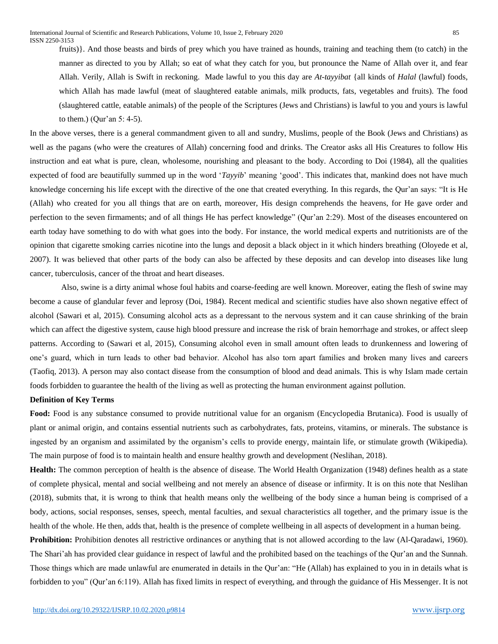fruits)}. And those beasts and birds of prey which you have trained as hounds, training and teaching them (to catch) in the manner as directed to you by Allah; so eat of what they catch for you, but pronounce the Name of Allah over it, and fear Allah. Verily, Allah is Swift in reckoning. Made lawful to you this day are *At-tayyibat* {all kinds of *Halal* (lawful) foods, which Allah has made lawful (meat of slaughtered eatable animals, milk products, fats, vegetables and fruits). The food (slaughtered cattle, eatable animals) of the people of the Scriptures (Jews and Christians) is lawful to you and yours is lawful to them.) (Qur'an 5: 4-5).

In the above verses, there is a general commandment given to all and sundry, Muslims, people of the Book (Jews and Christians) as well as the pagans (who were the creatures of Allah) concerning food and drinks. The Creator asks all His Creatures to follow His instruction and eat what is pure, clean, wholesome, nourishing and pleasant to the body. According to Doi (1984), all the qualities expected of food are beautifully summed up in the word '*Tayyib*' meaning 'good'. This indicates that, mankind does not have much knowledge concerning his life except with the directive of the one that created everything. In this regards, the Qur'an says: "It is He (Allah) who created for you all things that are on earth, moreover, His design comprehends the heavens, for He gave order and perfection to the seven firmaments; and of all things He has perfect knowledge" (Qur'an 2:29). Most of the diseases encountered on earth today have something to do with what goes into the body. For instance, the world medical experts and nutritionists are of the opinion that cigarette smoking carries nicotine into the lungs and deposit a black object in it which hinders breathing (Oloyede et al, 2007). It was believed that other parts of the body can also be affected by these deposits and can develop into diseases like lung cancer, tuberculosis, cancer of the throat and heart diseases.

Also, swine is a dirty animal whose foul habits and coarse-feeding are well known. Moreover, eating the flesh of swine may become a cause of glandular fever and leprosy (Doi, 1984). Recent medical and scientific studies have also shown negative effect of alcohol (Sawari et al, 2015). Consuming alcohol acts as a depressant to the nervous system and it can cause shrinking of the brain which can affect the digestive system, cause high blood pressure and increase the risk of brain hemorrhage and strokes, or affect sleep patterns. According to (Sawari et al, 2015), Consuming alcohol even in small amount often leads to drunkenness and lowering of one's guard, which in turn leads to other bad behavior. Alcohol has also torn apart families and broken many lives and careers (Taofiq, 2013). A person may also contact disease from the consumption of blood and dead animals. This is why Islam made certain foods forbidden to guarantee the health of the living as well as protecting the human environment against pollution.

## **Definition of Key Terms**

**Food:** Food is any substance consumed to provide nutritional value for an organism (Encyclopedia Brutanica). Food is usually of plant or animal origin, and contains essential nutrients such as carbohydrates, fats, proteins, vitamins, or minerals. The substance is ingested by an organism and assimilated by the organism's cells to provide energy, maintain life, or stimulate growth (Wikipedia). The main purpose of food is to maintain health and ensure healthy growth and development (Neslihan, 2018).

**Health:** The common perception of health is the absence of disease. The World Health Organization (1948) defines health as a state of complete physical, mental and social wellbeing and not merely an absence of disease or infirmity. It is on this note that Neslihan (2018), submits that, it is wrong to think that health means only the wellbeing of the body since a human being is comprised of a body, actions, social responses, senses, speech, mental faculties, and sexual characteristics all together, and the primary issue is the health of the whole. He then, adds that, health is the presence of complete wellbeing in all aspects of development in a human being.

**Prohibition:** Prohibition denotes all restrictive ordinances or anything that is not allowed according to the law (Al-Qaradawi, 1960). The Shari'ah has provided clear guidance in respect of lawful and the prohibited based on the teachings of the Qur'an and the Sunnah. Those things which are made unlawful are enumerated in details in the Qur'an: "He (Allah) has explained to you in in details what is forbidden to you" (Qur'an 6:119). Allah has fixed limits in respect of everything, and through the guidance of His Messenger. It is not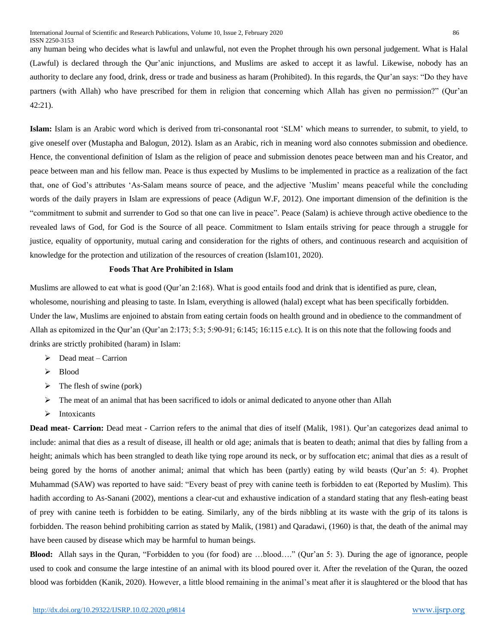any human being who decides what is lawful and unlawful, not even the Prophet through his own personal judgement. What is Halal (Lawful) is declared through the Qur'anic injunctions, and Muslims are asked to accept it as lawful. Likewise, nobody has an authority to declare any food, drink, dress or trade and business as haram (Prohibited). In this regards, the Qur'an says: "Do they have partners (with Allah) who have prescribed for them in religion that concerning which Allah has given no permission?" (Qur'an 42:21).

**Islam:** Islam is an Arabic word which is derived from tri-consonantal root 'SLM' which means to surrender, to submit, to yield, to give oneself over (Mustapha and Balogun, 2012). Islam as an Arabic, rich in meaning word also connotes submission and obedience. Hence, the conventional definition of Islam as the religion of peace and submission denotes peace between man and his Creator, and peace between man and his fellow man. Peace is thus expected by Muslims to be implemented in practice as a realization of the fact that, one of God's attributes 'As-Salam means source of peace, and the adjective 'Muslim' means peaceful while the concluding words of the daily prayers in Islam are expressions of peace (Adigun W.F, 2012). One important dimension of the definition is the "commitment to submit and surrender to God so that one can live in peace". Peace (Salam) is achieve through active obedience to the revealed laws of God, for God is the Source of all peace. Commitment to Islam entails striving for peace through a struggle for justice, equality of opportunity, mutual caring and consideration for the rights of others, and continuous research and acquisition of knowledge for the protection and utilization of the resources of creation (Islam101, 2020).

## **Foods That Are Prohibited in Islam**

Muslims are allowed to eat what is good (Qur'an 2:168). What is good entails food and drink that is identified as pure, clean, wholesome, nourishing and pleasing to taste. In Islam, everything is allowed (halal) except what has been specifically forbidden. Under the law, Muslims are enjoined to abstain from eating certain foods on health ground and in obedience to the commandment of Allah as epitomized in the Qur'an (Qur'an 2:173; 5:3; 5:90-91; 6:145; 16:115 e.t.c). It is on this note that the following foods and drinks are strictly prohibited (haram) in Islam:

- $\triangleright$  Dead meat Carrion
- $\triangleright$  Blood
- $\triangleright$  The flesh of swine (pork)
- $\triangleright$  The meat of an animal that has been sacrificed to idols or animal dedicated to anyone other than Allah
- $\triangleright$  Intoxicants

**Dead meat- Carrion:** Dead meat - Carrion refers to the animal that dies of itself (Malik, 1981). Qur'an categorizes dead animal to include: animal that dies as a result of disease, ill health or old age; animals that is beaten to death; animal that dies by falling from a height; animals which has been strangled to death like tying rope around its neck, or by suffocation etc; animal that dies as a result of being gored by the horns of another animal; animal that which has been (partly) eating by wild beasts (Qur'an 5: 4). Prophet Muhammad (SAW) was reported to have said: "Every beast of prey with canine teeth is forbidden to eat (Reported by Muslim). This hadith according to As-Sanani (2002), mentions a clear-cut and exhaustive indication of a standard stating that any flesh-eating beast of prey with canine teeth is forbidden to be eating. Similarly, any of the birds nibbling at its waste with the grip of its talons is forbidden. The reason behind prohibiting carrion as stated by Malik, (1981) and Qaradawi, (1960) is that, the death of the animal may have been caused by disease which may be harmful to human beings.

**Blood:** Allah says in the Quran, "Forbidden to you (for food) are …blood…." (Qur'an 5: 3). During the age of ignorance, people used to cook and consume the large intestine of an animal with its blood poured over it. After the revelation of the Quran, the oozed blood was forbidden (Kanik, 2020). However, a little blood remaining in the animal's meat after it is slaughtered or the blood that has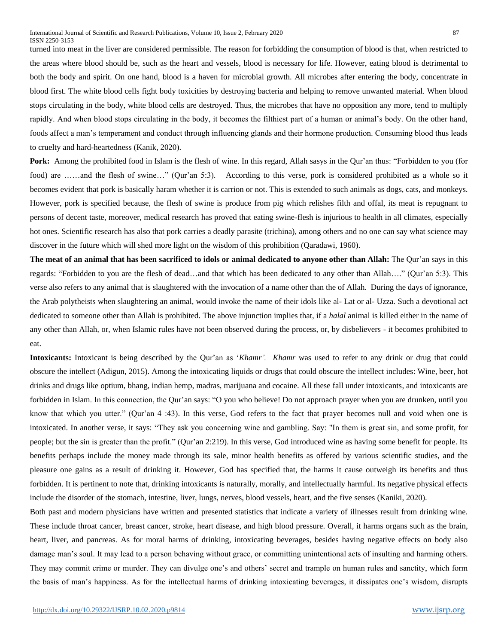turned into meat in the liver are considered permissible. The reason for forbidding the consumption of blood is that, when restricted to the areas where blood should be, such as the heart and vessels, blood is necessary for life. However, eating blood is detrimental to both the body and spirit. On one hand, blood is a haven for microbial growth. All microbes after entering the body, concentrate in blood first. The white blood cells fight body toxicities by destroying bacteria and helping to remove unwanted material. When blood stops circulating in the body, white blood cells are destroyed. Thus, the microbes that have no opposition any more, tend to multiply rapidly. And when blood stops circulating in the body, it becomes the filthiest part of a human or animal's body. On the other hand, foods affect a man's temperament and conduct through influencing glands and their hormone production. Consuming blood thus leads to cruelty and hard-heartedness (Kanik, 2020).

**Pork:** Among the prohibited food in Islam is the flesh of wine. In this regard, Allah sasys in the Qur'an thus: "Forbidden to you (for food) are ……and the flesh of swine…" (Qur'an 5:3). According to this verse, pork is considered prohibited as a whole so it becomes evident that pork is basically haram whether it is carrion or not. This is extended to such animals as dogs, cats, and monkeys. However, pork is specified because, the flesh of swine is produce from pig which relishes filth and offal, its meat is repugnant to persons of decent taste, moreover, medical research has proved that eating swine-flesh is injurious to health in all climates, especially hot ones. Scientific research has also that pork carries a deadly parasite (trichina), among others and no one can say what science may discover in the future which will shed more light on the wisdom of this prohibition (Qaradawi, 1960).

**The meat of an animal that has been sacrificed to idols or animal dedicated to anyone other than Allah:** The Qur'an says in this regards: "Forbidden to you are the flesh of dead…and that which has been dedicated to any other than Allah…." (Qur'an 5:3). This verse also refers to any animal that is slaughtered with the invocation of a name other than the of Allah. During the days of ignorance, the Arab polytheists when slaughtering an animal, would invoke the name of their idols like al- Lat or al- Uzza. Such a devotional act dedicated to someone other than Allah is prohibited. The above injunction implies that, if a *halal* animal is killed either in the name of any other than Allah, or, when Islamic rules have not been observed during the process, or, by disbelievers - it becomes prohibited to eat.

**Intoxicants:** Intoxicant is being described by the Qur'an as '*Khamr'. Khamr* was used to refer to any drink or drug that could obscure the intellect (Adigun, 2015). Among the intoxicating liquids or drugs that could obscure the intellect includes: Wine, beer, hot drinks and drugs like optium, bhang, indian hemp, madras, marijuana and cocaine. All these fall under intoxicants, and intoxicants are forbidden in Islam. In this connection, the Qur'an says: "O you who believe! Do not approach prayer when you are drunken, until you know that which you utter." (Qur'an 4 :43). In this verse, God refers to the fact that prayer becomes null and void when one is intoxicated. In another verse, it says: "They ask you concerning wine and gambling. Say: "In them is great sin, and some profit, for people; but the sin is greater than the profit." (Qur'an 2:219). In this verse, God introduced wine as having some benefit for people. Its benefits perhaps include the money made through its sale, minor health benefits as offered by various scientific studies, and the pleasure one gains as a result of drinking it. However, God has specified that, the harms it cause outweigh its benefits and thus forbidden. It is pertinent to note that, drinking intoxicants is naturally, morally, and intellectually harmful. Its negative physical effects include the disorder of the stomach, intestine, liver, lungs, nerves, blood vessels, heart, and the five senses (Kaniki, 2020).

Both past and modern physicians have written and presented statistics that indicate a variety of illnesses result from drinking wine. These include throat cancer, breast cancer, stroke, heart disease, and high blood pressure. Overall, it harms organs such as the brain, heart, liver, and pancreas. As for moral harms of drinking, intoxicating beverages, besides having negative effects on body also damage man's soul. It may lead to a person behaving without grace, or committing unintentional acts of insulting and harming others. They may commit crime or murder. They can divulge one's and others' secret and trample on human rules and sanctity, which form the basis of man's happiness. As for the intellectual harms of drinking intoxicating beverages, it dissipates one's wisdom, disrupts